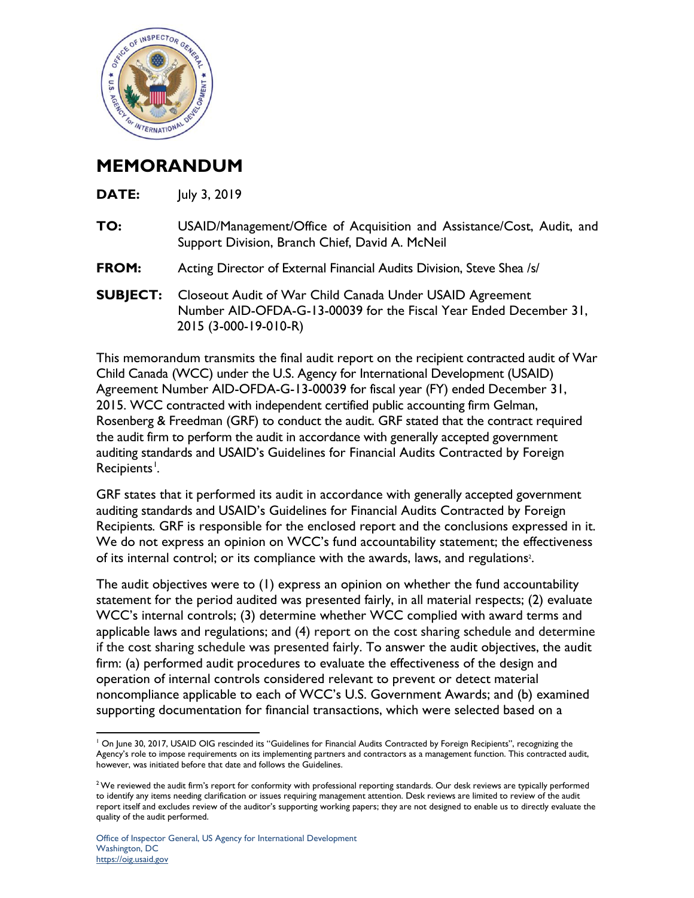

## **MEMORANDUM**

| TO: | USAID/Management/Office of Acquisition and Assistance/Cost, Audit, and |
|-----|------------------------------------------------------------------------|
|     | Support Division, Branch Chief, David A. McNeil                        |

- **FROM:** Acting Director of External Financial Audits Division, Steve Shea /s/
- **SUBJECT:** Closeout Audit of War Child Canada Under USAID Agreement Number AID-OFDA-G-13-00039 for the Fiscal Year Ended December 31, 2015 (3-000-19-010-R)

This memorandum transmits the final audit report on the recipient contracted audit of War Child Canada (WCC) under the U.S. Agency for International Development (USAID) Agreement Number AID-OFDA-G-13-00039 for fiscal year (FY) ended December 31, 2015. WCC contracted with independent certified public accounting firm Gelman, Rosenberg & Freedman (GRF) to conduct the audit. GRF stated that the contract required the audit firm to perform the audit in accordance with generally accepted government auditing standards and USAID's Guidelines for Financial Audits Contracted by Foreign  $Recipients<sup>1</sup>$  $Recipients<sup>1</sup>$  $Recipients<sup>1</sup>$ . *.*

GRF states that it performed its audit in accordance with generally accepted government auditing standards and USAID's Guidelines for Financial Audits Contracted by Foreign Recipients*.* GRF is responsible for the enclosed report and the conclusions expressed in it. We do not express an opinion on WCC's fund accountability statement; the effectiveness of its internal control; or its compliance with the awards, laws, and regulations<sup>2</sup>.

The audit objectives were to (1) express an opinion on whether the fund accountability statement for the period audited was presented fairly, in all material respects; (2) evaluate WCC's internal controls; (3) determine whether WCC complied with award terms and applicable laws and regulations; and (4) report on the cost sharing schedule and determine if the cost sharing schedule was presented fairly. To answer the audit objectives, the audit firm: (a) performed audit procedures to evaluate the effectiveness of the design and operation of internal controls considered relevant to prevent or detect material noncompliance applicable to each of WCC's U.S. Government Awards; and (b) examined supporting documentation for financial transactions, which were selected based on a

<span id="page-0-0"></span> $\overline{a}$ <sup>1</sup> On June 30, 2017, USAID OIG rescinded its "Guidelines for Financial Audits Contracted by Foreign Recipients", recognizing the Agency's role to impose requirements on its implementing partners and contractors as a management function. This contracted audit, however, was initiated before that date and follows the Guidelines.

<sup>&</sup>lt;sup>2</sup> We reviewed the audit firm's report for conformity with professional reporting standards. Our desk reviews are typically performed to identify any items needing clarification or issues requiring management attention. Desk reviews are limited to review of the audit report itself and excludes review of the auditor's supporting working papers; they are not designed to enable us to directly evaluate the quality of the audit performed.